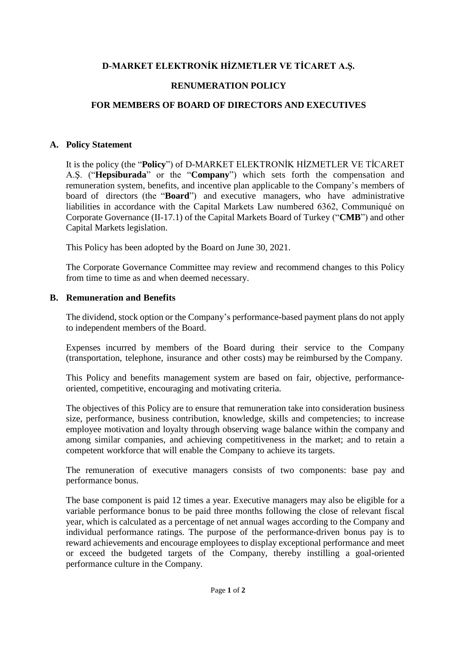# **D-MARKET ELEKTRONİK HİZMETLER VE TİCARET A.Ş.**

### **RENUMERATION POLICY**

# **FOR MEMBERS OF BOARD OF DIRECTORS AND EXECUTIVES**

#### **A. Policy Statement**

It is the policy (the "**Policy**") of D-MARKET ELEKTRONİK HİZMETLER VE TİCARET A.Ş. ("**Hepsiburada**" or the "**Company**") which sets forth the compensation and remuneration system, benefits, and incentive plan applicable to the Company's members of board of directors (the "**Board**") and executive managers, who have administrative liabilities in accordance with the Capital Markets Law numbered 6362, Communiqué on Corporate Governance (II-17.1) of the Capital Markets Board of Turkey ("**CMB**") and other Capital Markets legislation.

This Policy has been adopted by the Board on June 30, 2021.

The Corporate Governance Committee may review and recommend changes to this Policy from time to time as and when deemed necessary.

#### **B. Remuneration and Benefits**

The dividend, stock option or the Company's performance-based payment plans do not apply to independent members of the Board.

Expenses incurred by members of the Board during their service to the Company (transportation, telephone, insurance and other costs) may be reimbursed by the Company.

This Policy and benefits management system are based on fair, objective, performanceoriented, competitive, encouraging and motivating criteria.

The objectives of this Policy are to ensure that remuneration take into consideration business size, performance, business contribution, knowledge, skills and competencies; to increase employee motivation and loyalty through observing wage balance within the company and among similar companies, and achieving competitiveness in the market; and to retain a competent workforce that will enable the Company to achieve its targets.

The remuneration of executive managers consists of two components: base pay and performance bonus.

The base component is paid 12 times a year. Executive managers may also be eligible for a variable performance bonus to be paid three months following the close of relevant fiscal year, which is calculated as a percentage of net annual wages according to the Company and individual performance ratings. The purpose of the performance-driven bonus pay is to reward achievements and encourage employees to display exceptional performance and meet or exceed the budgeted targets of the Company, thereby instilling a goal-oriented performance culture in the Company.